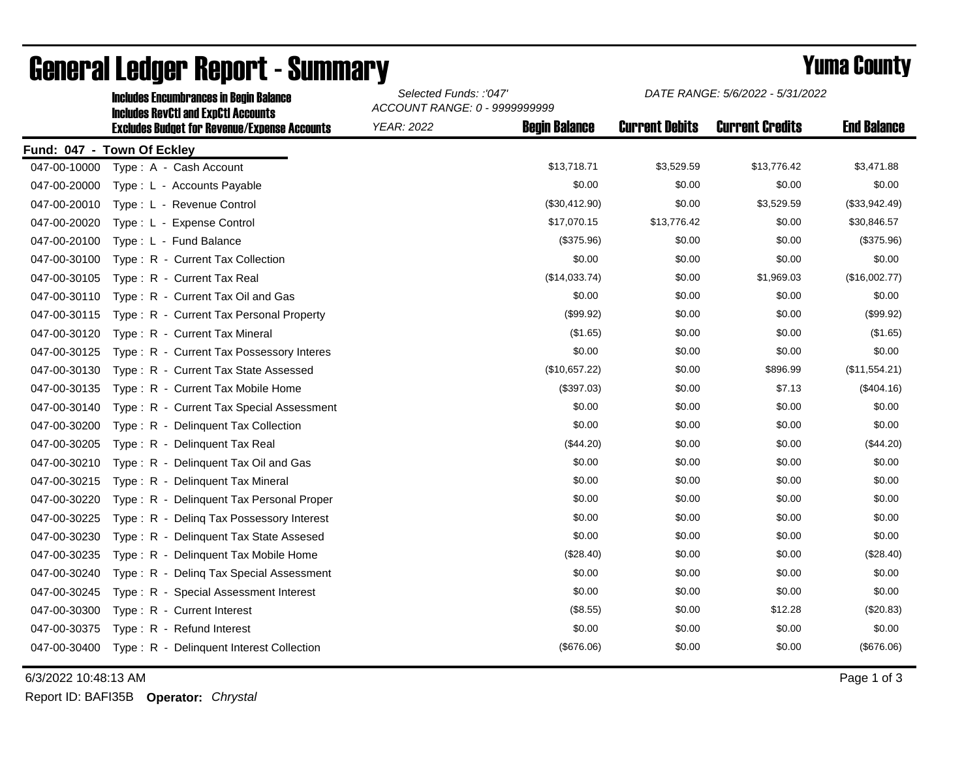|              | <b>Includes Encumbrances in Begin Balance</b><br><b>Includes RevCtI and ExpCtI Accounts</b><br><b>Excludes Budget for Revenue/Expense Accounts</b> | Selected Funds: :'047'<br>ACCOUNT RANGE: 0 - 9999999999 |                      | DATE RANGE: 5/6/2022 - 5/31/2022 |                        |                    |
|--------------|----------------------------------------------------------------------------------------------------------------------------------------------------|---------------------------------------------------------|----------------------|----------------------------------|------------------------|--------------------|
|              |                                                                                                                                                    | <b>YEAR: 2022</b>                                       | <b>Begin Balance</b> | <b>Current Debits</b>            | <b>Current Credits</b> | <b>End Balance</b> |
|              | Fund: 047 - Town Of Eckley                                                                                                                         |                                                         |                      |                                  |                        |                    |
| 047-00-10000 | Type: A - Cash Account                                                                                                                             |                                                         | \$13,718.71          | \$3,529.59                       | \$13,776.42            | \$3,471.88         |
| 047-00-20000 | Type: L - Accounts Payable                                                                                                                         |                                                         | \$0.00               | \$0.00                           | \$0.00                 | \$0.00             |
| 047-00-20010 | Type: L - Revenue Control                                                                                                                          |                                                         | (\$30,412.90)        | \$0.00                           | \$3,529.59             | (\$33,942.49)      |
| 047-00-20020 | Type: L - Expense Control                                                                                                                          |                                                         | \$17,070.15          | \$13,776.42                      | \$0.00                 | \$30,846.57        |
| 047-00-20100 | Type: L - Fund Balance                                                                                                                             |                                                         | (\$375.96)           | \$0.00                           | \$0.00                 | (\$375.96)         |
| 047-00-30100 | Type: R - Current Tax Collection                                                                                                                   |                                                         | \$0.00               | \$0.00                           | \$0.00                 | \$0.00             |
| 047-00-30105 | Type: R - Current Tax Real                                                                                                                         |                                                         | (\$14,033.74)        | \$0.00                           | \$1,969.03             | (\$16,002.77)      |
| 047-00-30110 | Type: R - Current Tax Oil and Gas                                                                                                                  |                                                         | \$0.00               | \$0.00                           | \$0.00                 | \$0.00             |
| 047-00-30115 | Type: R - Current Tax Personal Property                                                                                                            |                                                         | (\$99.92)            | \$0.00                           | \$0.00                 | (\$99.92)          |
| 047-00-30120 | Type: R - Current Tax Mineral                                                                                                                      |                                                         | (\$1.65)             | \$0.00                           | \$0.00                 | (\$1.65)           |
| 047-00-30125 | Type: R - Current Tax Possessory Interes                                                                                                           |                                                         | \$0.00               | \$0.00                           | \$0.00                 | \$0.00             |
| 047-00-30130 | Type: R - Current Tax State Assessed                                                                                                               |                                                         | (\$10,657.22)        | \$0.00                           | \$896.99               | (\$11,554.21)      |
| 047-00-30135 | Type: R - Current Tax Mobile Home                                                                                                                  |                                                         | (\$397.03)           | \$0.00                           | \$7.13                 | (\$404.16)         |
| 047-00-30140 | Type: R - Current Tax Special Assessment                                                                                                           |                                                         | \$0.00               | \$0.00                           | \$0.00                 | \$0.00             |
| 047-00-30200 | Type: R - Delinquent Tax Collection                                                                                                                |                                                         | \$0.00               | \$0.00                           | \$0.00                 | \$0.00             |
| 047-00-30205 | Type: R - Delinquent Tax Real                                                                                                                      |                                                         | (\$44.20)            | \$0.00                           | \$0.00                 | (\$44.20)          |
| 047-00-30210 | Type: R - Delinquent Tax Oil and Gas                                                                                                               |                                                         | \$0.00               | \$0.00                           | \$0.00                 | \$0.00             |
| 047-00-30215 | Type: R - Delinquent Tax Mineral                                                                                                                   |                                                         | \$0.00               | \$0.00                           | \$0.00                 | \$0.00             |
| 047-00-30220 | Type: R - Delinquent Tax Personal Proper                                                                                                           |                                                         | \$0.00               | \$0.00                           | \$0.00                 | \$0.00             |
| 047-00-30225 | Type: R - Deling Tax Possessory Interest                                                                                                           |                                                         | \$0.00               | \$0.00                           | \$0.00                 | \$0.00             |
| 047-00-30230 | Type: R - Delinquent Tax State Assesed                                                                                                             |                                                         | \$0.00               | \$0.00                           | \$0.00                 | \$0.00             |
| 047-00-30235 | Type: R - Delinquent Tax Mobile Home                                                                                                               |                                                         | (\$28.40)            | \$0.00                           | \$0.00                 | (\$28.40)          |
| 047-00-30240 | Type: R - Deling Tax Special Assessment                                                                                                            |                                                         | \$0.00               | \$0.00                           | \$0.00                 | \$0.00             |
| 047-00-30245 | Type: R - Special Assessment Interest                                                                                                              |                                                         | \$0.00               | \$0.00                           | \$0.00                 | \$0.00             |
| 047-00-30300 | Type: R - Current Interest                                                                                                                         |                                                         | (\$8.55)             | \$0.00                           | \$12.28                | (\$20.83)          |
| 047-00-30375 | Type: R - Refund Interest                                                                                                                          |                                                         | \$0.00               | \$0.00                           | \$0.00                 | \$0.00             |
| 047-00-30400 | Type: R - Delinquent Interest Collection                                                                                                           |                                                         | (\$676.06)           | \$0.00                           | \$0.00                 | (\$676.06)         |

## General Ledger Report - Summary **Example 2018** Yuma County

6/3/2022 10:48:13 AM Page 1 of 3

Report ID: BAFI35B **Operator:** *Chrystal*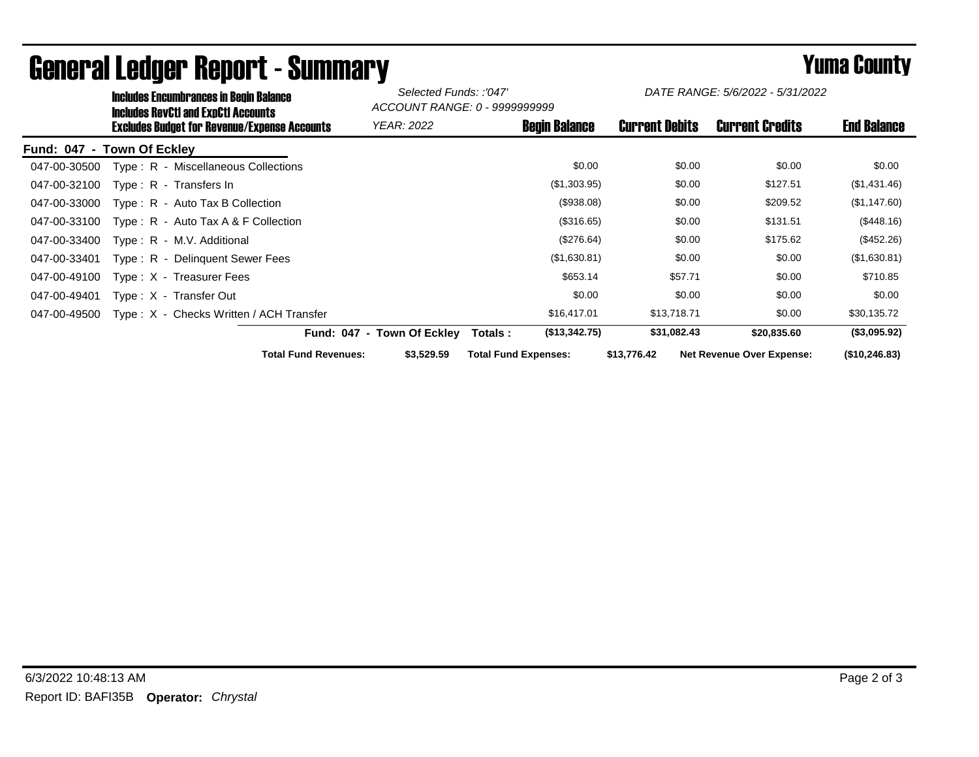|              | <b>Includes Encumbrances in Begin Balance</b><br><b>Includes RevCtI and ExpCtI Accounts</b><br><b>Excludes Budget for Revenue/Expense Accounts</b> | Selected Funds: :'047'<br>ACCOUNT RANGE: 0 - 9999999999 |                            | DATE RANGE: 5/6/2022 - 5/31/2022 |                        |                                  |                |
|--------------|----------------------------------------------------------------------------------------------------------------------------------------------------|---------------------------------------------------------|----------------------------|----------------------------------|------------------------|----------------------------------|----------------|
|              |                                                                                                                                                    | <b>YEAR: 2022</b>                                       | <b>Begin Balance</b>       | <b>Current Debits</b>            | <b>Current Credits</b> | <b>End Balance</b>               |                |
|              | Fund: 047 - Town Of Eckley                                                                                                                         |                                                         |                            |                                  |                        |                                  |                |
| 047-00-30500 | Type: R - Miscellaneous Collections                                                                                                                |                                                         |                            | \$0.00                           | \$0.00                 | \$0.00                           | \$0.00         |
| 047-00-32100 | Type: R - Transfers In                                                                                                                             |                                                         |                            | (\$1,303.95)                     | \$0.00                 | \$127.51                         | (\$1,431.46)   |
| 047-00-33000 | Type: R - Auto Tax B Collection                                                                                                                    |                                                         |                            | (\$938.08)                       | \$0.00                 | \$209.52                         | (\$1,147.60)   |
| 047-00-33100 | Type: $R -$ Auto Tax A & F Collection                                                                                                              |                                                         |                            | (\$316.65)                       | \$0.00                 | \$131.51                         | (\$448.16)     |
| 047-00-33400 | Type: R - M.V. Additional                                                                                                                          |                                                         |                            | (\$276.64)                       | \$0.00                 | \$175.62                         | (\$452.26)     |
| 047-00-33401 | Type: R - Delinguent Sewer Fees                                                                                                                    |                                                         |                            | (\$1,630.81)                     | \$0.00                 | \$0.00                           | (\$1,630.81)   |
| 047-00-49100 | Type: X - Treasurer Fees                                                                                                                           |                                                         |                            | \$653.14                         | \$57.71                | \$0.00                           | \$710.85       |
| 047-00-49401 | Type: X - Transfer Out                                                                                                                             |                                                         |                            | \$0.00                           | \$0.00                 | \$0.00                           | \$0.00         |
| 047-00-49500 |                                                                                                                                                    | Type: X - Checks Written / ACH Transfer                 |                            | \$16,417.01                      | \$13,718.71            | \$0.00                           | \$30,135.72    |
|              |                                                                                                                                                    |                                                         | Fund: 047 - Town Of Eckley | (\$13,342.75)<br>Totals :        | \$31,082.43            | \$20,835.60                      | (\$3,095.92)   |
|              |                                                                                                                                                    | <b>Total Fund Revenues:</b>                             | \$3,529.59                 | <b>Total Fund Expenses:</b>      | \$13,776.42            | <b>Net Revenue Over Expense:</b> | (\$10, 246.83) |

## General Ledger Report - Summary **Example 2018** Yuma County